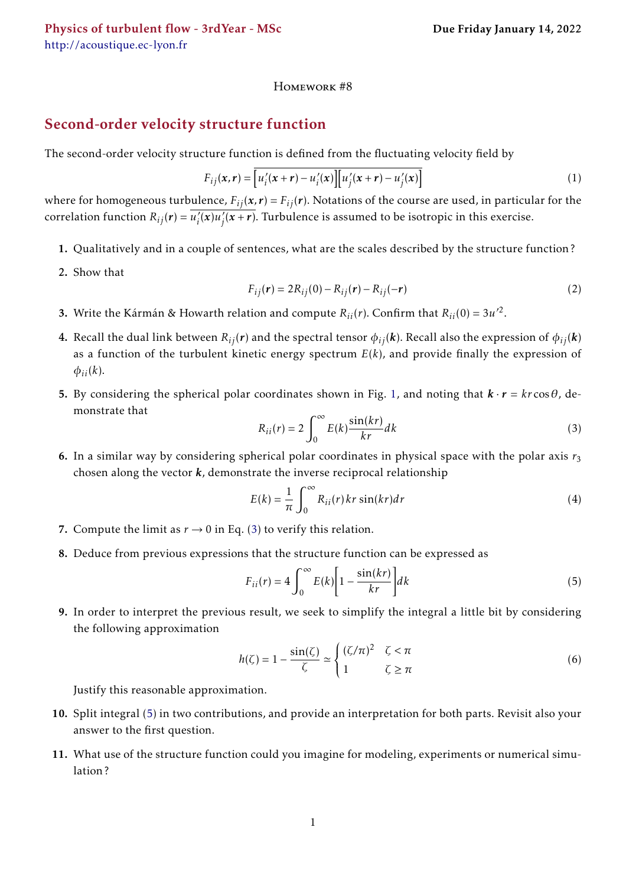<http://acoustique.ec-lyon.fr>

## Homework #8

## Second-order velocity structure function

The second-order velocity structure function is defined from the fluctuating velocity field by

$$
F_{ij}(\mathbf{x}, \mathbf{r}) = \overline{\left[u_i'(\mathbf{x} + \mathbf{r}) - u_i'(\mathbf{x})\right] \left[u_j'(\mathbf{x} + \mathbf{r}) - u_j'(\mathbf{x})\right]}
$$
(1)

where for homogeneous turbulence,  $F_{ij}(x,r) = F_{ij}(r)$ . Notations of the course are used, in particular for the correlation function  $R_{ij}(\boldsymbol{r}) = \overline{u'_i}$  $\overline{a_i'(x)}u_j'$  $\sqrt{\overline{f}(x+r)}$ . Turbulence is assumed to be isotropic in this exercise.

- 1. Qualitatively and in a couple of sentences, what are the scales described by the structure function ?
- 2. Show that

$$
F_{ij}(r) = 2R_{ij}(0) - R_{ij}(r) - R_{ij}(-r)
$$
\n(2)

- **3.** Write the Kármán & Howarth relation and compute  $R_{ii}(r)$ . Confirm that  $R_{ii}(0) = 3u'^2$ .
- 4. Recall the dual link between  $R_{ij}(r)$  and the spectral tensor  $\phi_{ij}(k)$ . Recall also the expression of  $\phi_{ij}(k)$ as a function of the turbulent kinetic energy spectrum  $E(k)$ , and provide finally the expression of  $\phi_{ii}(k)$ .
- 5. By considering the spherical polar coordinates shown in Fig. [1,](#page-1-0) and noting that  $\mathbf{k} \cdot \mathbf{r} = k r \cos \theta$ , demonstrate that

<span id="page-0-0"></span>
$$
R_{ii}(r) = 2 \int_0^\infty E(k) \frac{\sin(kr)}{kr} dk
$$
 (3)

6. In a similar way by considering spherical polar coordinates in physical space with the polar axis  $r_3$ chosen along the vector *k*, demonstrate the inverse reciprocal relationship

$$
E(k) = \frac{1}{\pi} \int_0^\infty R_{ii}(r) \, kr \sin(kr) \, dr \tag{4}
$$

- 7. Compute the limit as  $r \rightarrow 0$  in Eq. [\(3\)](#page-0-0) to verify this relation.
- 8. Deduce from previous expressions that the structure function can be expressed as

<span id="page-0-1"></span>
$$
F_{ii}(r) = 4 \int_0^\infty E(k) \left[ 1 - \frac{\sin(kr)}{kr} \right] dk \tag{5}
$$

9. In order to interpret the previous result, we seek to simplify the integral a little bit by considering the following approximation

$$
h(\zeta) = 1 - \frac{\sin(\zeta)}{\zeta} \simeq \begin{cases} (\zeta/\pi)^2 & \zeta < \pi \\ 1 & \zeta \ge \pi \end{cases} \tag{6}
$$

Justify this reasonable approximation.

- 10. Split integral [\(5\)](#page-0-1) in two contributions, and provide an interpretation for both parts. Revisit also your answer to the first question.
- 11. What use of the structure function could you imagine for modeling, experiments or numerical simulation ?